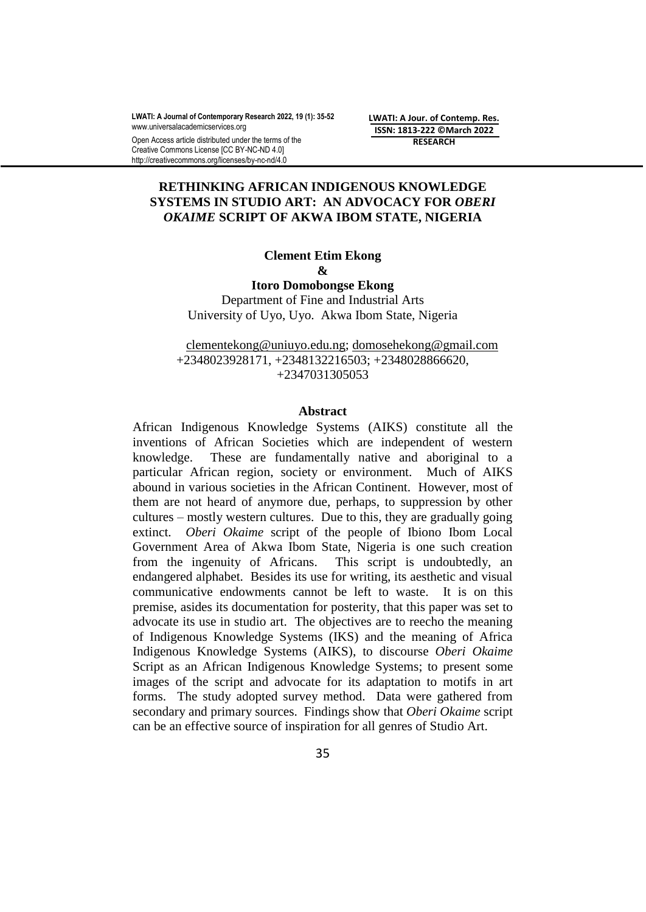Open Access article distributed under the terms of the Creative Commons License [CC BY-NC-ND 4.0] http://creativecommons.org/licenses/by-nc-nd/4.0

**LWATI: A Jour. of Contemp. Res. ISSN: 1813-222 ©March 2022 RESEARCH**

# **RETHINKING AFRICAN INDIGENOUS KNOWLEDGE SYSTEMS IN STUDIO ART: AN ADVOCACY FOR** *OBERI OKAIME* **SCRIPT OF AKWA IBOM STATE, NIGERIA**

## **Clement Etim Ekong &**

**Itoro Domobongse Ekong**

Department of Fine and Industrial Arts University of Uyo, Uyo. Akwa Ibom State, Nigeria

[clementekong@uniuyo.edu.ng;](mailto:clementekong@uniuyo.edu.ng) [domosehekong@gmail.com](mailto:domosehekong@gmail.com) +2348023928171, +2348132216503; +2348028866620, +2347031305053

#### **Abstract**

African Indigenous Knowledge Systems (AIKS) constitute all the inventions of African Societies which are independent of western knowledge. These are fundamentally native and aboriginal to a particular African region, society or environment. Much of AIKS abound in various societies in the African Continent. However, most of them are not heard of anymore due, perhaps, to suppression by other cultures – mostly western cultures. Due to this, they are gradually going extinct. *Oberi Okaime* script of the people of Ibiono Ibom Local Government Area of Akwa Ibom State, Nigeria is one such creation from the ingenuity of Africans. This script is undoubtedly, an endangered alphabet. Besides its use for writing, its aesthetic and visual communicative endowments cannot be left to waste. It is on this premise, asides its documentation for posterity, that this paper was set to advocate its use in studio art. The objectives are to reecho the meaning of Indigenous Knowledge Systems (IKS) and the meaning of Africa Indigenous Knowledge Systems (AIKS), to discourse *Oberi Okaime* Script as an African Indigenous Knowledge Systems; to present some images of the script and advocate for its adaptation to motifs in art forms. The study adopted survey method. Data were gathered from secondary and primary sources. Findings show that *Oberi Okaime* script can be an effective source of inspiration for all genres of Studio Art.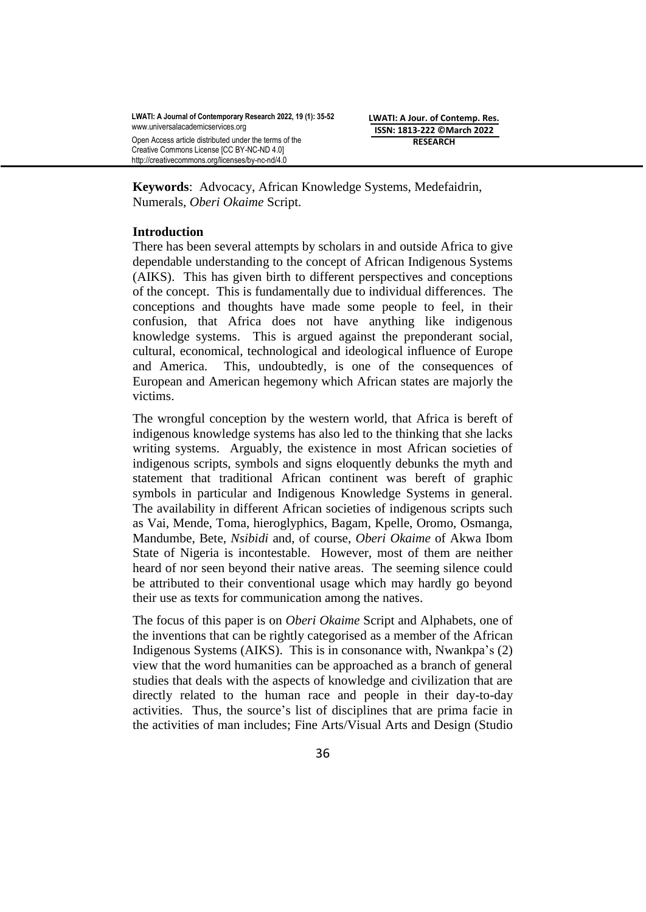**LWATI: A Jour. of Contemp. Res. ISSN: 1813-222 ©March 2022 RESEARCH**

**Keywords**: Advocacy, African Knowledge Systems, Medefaidrin, Numerals, *Oberi Okaime* Script.

# **Introduction**

There has been several attempts by scholars in and outside Africa to give dependable understanding to the concept of African Indigenous Systems (AIKS). This has given birth to different perspectives and conceptions of the concept. This is fundamentally due to individual differences. The conceptions and thoughts have made some people to feel, in their confusion, that Africa does not have anything like indigenous knowledge systems. This is argued against the preponderant social, cultural, economical, technological and ideological influence of Europe and America. This, undoubtedly, is one of the consequences of European and American hegemony which African states are majorly the victims.

The wrongful conception by the western world, that Africa is bereft of indigenous knowledge systems has also led to the thinking that she lacks writing systems. Arguably, the existence in most African societies of indigenous scripts, symbols and signs eloquently debunks the myth and statement that traditional African continent was bereft of graphic symbols in particular and Indigenous Knowledge Systems in general. The availability in different African societies of indigenous scripts such as Vai, Mende, Toma, hieroglyphics, Bagam, Kpelle, Oromo, Osmanga, Mandumbe, Bete, *Nsibidi* and, of course, *Oberi Okaime* of Akwa Ibom State of Nigeria is incontestable. However, most of them are neither heard of nor seen beyond their native areas. The seeming silence could be attributed to their conventional usage which may hardly go beyond their use as texts for communication among the natives.

The focus of this paper is on *Oberi Okaime* Script and Alphabets, one of the inventions that can be rightly categorised as a member of the African Indigenous Systems (AIKS). This is in consonance with, Nwankpa's (2) view that the word humanities can be approached as a branch of general studies that deals with the aspects of knowledge and civilization that are directly related to the human race and people in their day-to-day activities. Thus, the source's list of disciplines that are prima facie in the activities of man includes; Fine Arts/Visual Arts and Design (Studio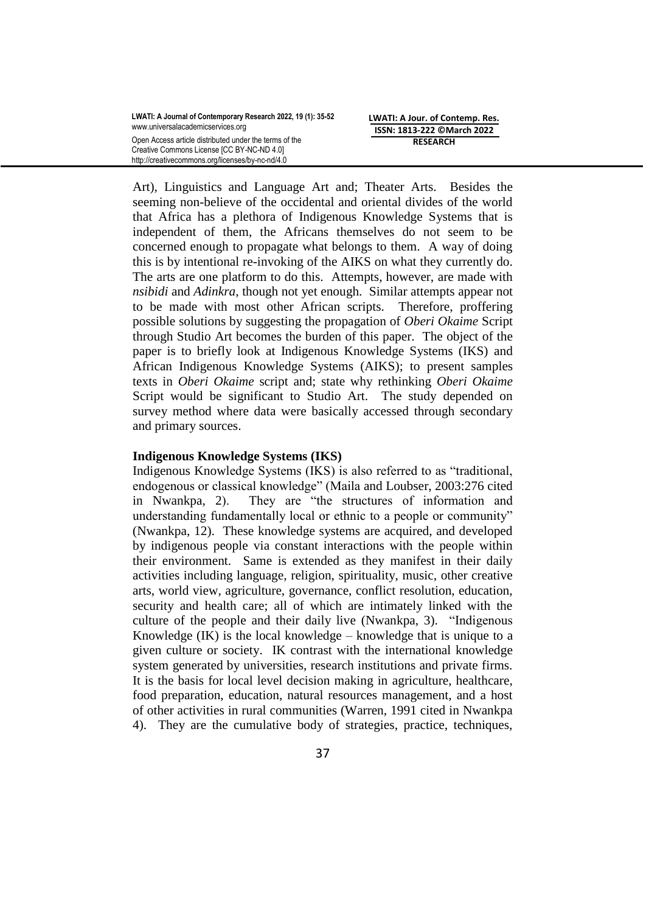Art), Linguistics and Language Art and; Theater Arts. Besides the seeming non-believe of the occidental and oriental divides of the world that Africa has a plethora of Indigenous Knowledge Systems that is independent of them, the Africans themselves do not seem to be concerned enough to propagate what belongs to them. A way of doing this is by intentional re-invoking of the AIKS on what they currently do. The arts are one platform to do this. Attempts, however, are made with *nsibidi* and *Adinkra*, though not yet enough. Similar attempts appear not to be made with most other African scripts. Therefore, proffering possible solutions by suggesting the propagation of *Oberi Okaime* Script through Studio Art becomes the burden of this paper. The object of the paper is to briefly look at Indigenous Knowledge Systems (IKS) and African Indigenous Knowledge Systems (AIKS); to present samples texts in *Oberi Okaime* script and; state why rethinking *Oberi Okaime* Script would be significant to Studio Art. The study depended on survey method where data were basically accessed through secondary and primary sources.

## **Indigenous Knowledge Systems (IKS)**

Indigenous Knowledge Systems (IKS) is also referred to as "traditional, endogenous or classical knowledge" (Maila and Loubser, 2003:276 cited in Nwankpa, 2). They are "the structures of information and understanding fundamentally local or ethnic to a people or community" (Nwankpa, 12). These knowledge systems are acquired, and developed by indigenous people via constant interactions with the people within their environment. Same is extended as they manifest in their daily activities including language, religion, spirituality, music, other creative arts, world view, agriculture, governance, conflict resolution, education, security and health care; all of which are intimately linked with the culture of the people and their daily live (Nwankpa, 3). "Indigenous Knowledge  $(K)$  is the local knowledge – knowledge that is unique to a given culture or society. IK contrast with the international knowledge system generated by universities, research institutions and private firms. It is the basis for local level decision making in agriculture, healthcare, food preparation, education, natural resources management, and a host of other activities in rural communities (Warren, 1991 cited in Nwankpa 4). They are the cumulative body of strategies, practice, techniques,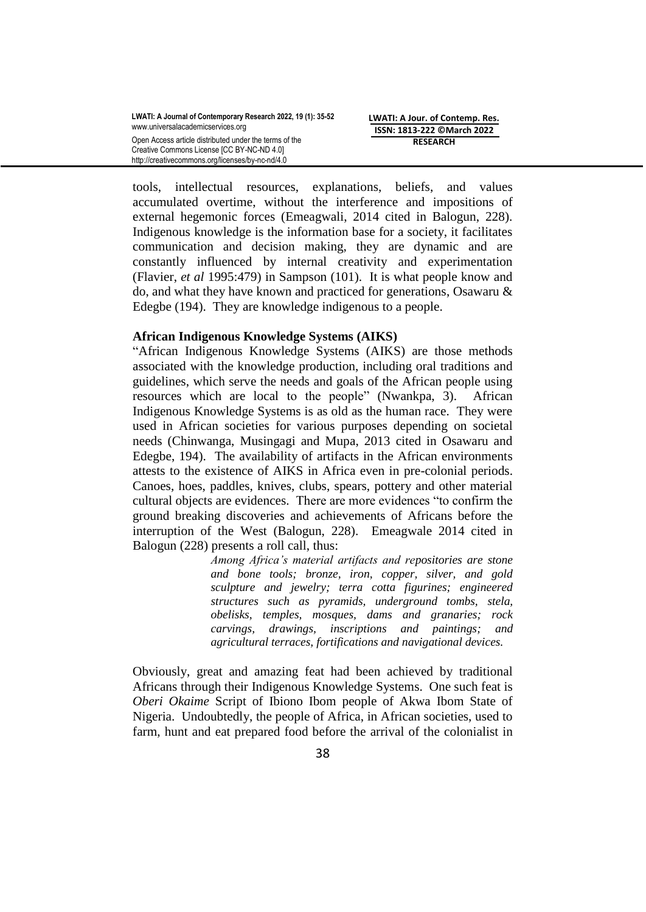**LWATI: A Jour. of Contemp. Res. ISSN: 1813-222 ©March 2022 RESEARCH**

tools, intellectual resources, explanations, beliefs, and values accumulated overtime, without the interference and impositions of external hegemonic forces (Emeagwali, 2014 cited in Balogun, 228). Indigenous knowledge is the information base for a society, it facilitates communication and decision making, they are dynamic and are constantly influenced by internal creativity and experimentation (Flavier, *et al* 1995:479) in Sampson (101). It is what people know and do, and what they have known and practiced for generations, Osawaru & Edegbe (194). They are knowledge indigenous to a people.

## **African Indigenous Knowledge Systems (AIKS)**

"African Indigenous Knowledge Systems (AIKS) are those methods associated with the knowledge production, including oral traditions and guidelines, which serve the needs and goals of the African people using resources which are local to the people" (Nwankpa, 3). African Indigenous Knowledge Systems is as old as the human race. They were used in African societies for various purposes depending on societal needs (Chinwanga, Musingagi and Mupa, 2013 cited in Osawaru and Edegbe, 194). The availability of artifacts in the African environments attests to the existence of AIKS in Africa even in pre-colonial periods. Canoes, hoes, paddles, knives, clubs, spears, pottery and other material cultural objects are evidences. There are more evidences "to confirm the ground breaking discoveries and achievements of Africans before the interruption of the West (Balogun, 228). Emeagwale 2014 cited in Balogun (228) presents a roll call, thus:

> *Among Africa's material artifacts and repositories are stone and bone tools; bronze, iron, copper, silver, and gold sculpture and jewelry; terra cotta figurines; engineered structures such as pyramids, underground tombs, stela, obelisks, temples, mosques, dams and granaries; rock carvings, drawings, inscriptions and paintings; and agricultural terraces, fortifications and navigational devices.*

Obviously, great and amazing feat had been achieved by traditional Africans through their Indigenous Knowledge Systems. One such feat is *Oberi Okaime* Script of Ibiono Ibom people of Akwa Ibom State of Nigeria. Undoubtedly, the people of Africa, in African societies, used to farm, hunt and eat prepared food before the arrival of the colonialist in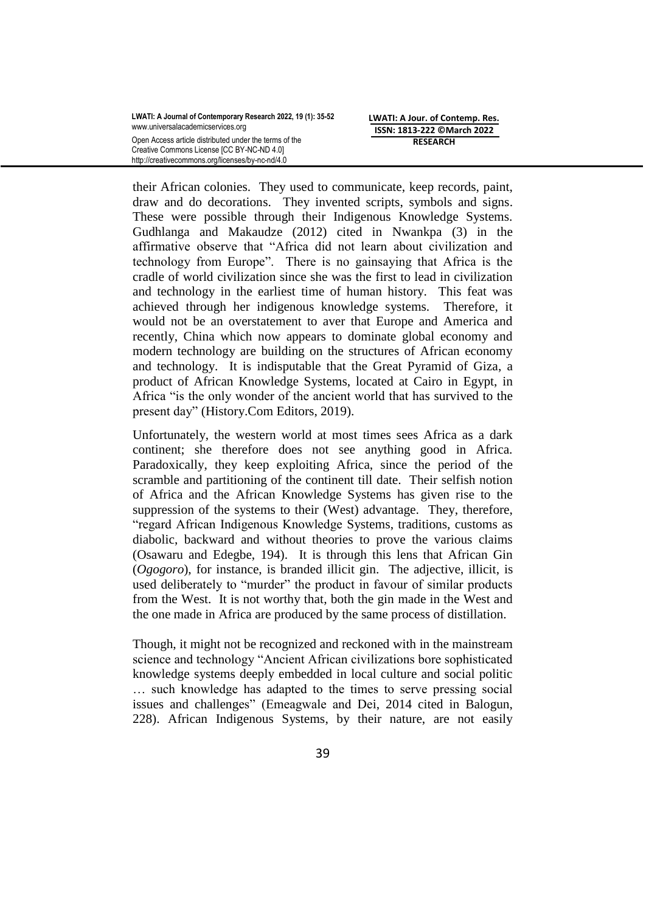**LWATI: A Jour. of Contemp. Res. ISSN: 1813-222 ©March 2022 RESEARCH**

their African colonies. They used to communicate, keep records, paint, draw and do decorations. They invented scripts, symbols and signs. These were possible through their Indigenous Knowledge Systems. Gudhlanga and Makaudze (2012) cited in Nwankpa (3) in the affirmative observe that "Africa did not learn about civilization and technology from Europe". There is no gainsaying that Africa is the cradle of world civilization since she was the first to lead in civilization and technology in the earliest time of human history. This feat was achieved through her indigenous knowledge systems. Therefore, it would not be an overstatement to aver that Europe and America and recently, China which now appears to dominate global economy and modern technology are building on the structures of African economy and technology. It is indisputable that the Great Pyramid of Giza, a product of African Knowledge Systems, located at Cairo in Egypt, in Africa "is the only wonder of the ancient world that has survived to the present day" (History.Com Editors, 2019).

Unfortunately, the western world at most times sees Africa as a dark continent; she therefore does not see anything good in Africa. Paradoxically, they keep exploiting Africa, since the period of the scramble and partitioning of the continent till date. Their selfish notion of Africa and the African Knowledge Systems has given rise to the suppression of the systems to their (West) advantage. They, therefore, "regard African Indigenous Knowledge Systems, traditions, customs as diabolic, backward and without theories to prove the various claims (Osawaru and Edegbe, 194). It is through this lens that African Gin (*Ogogoro*), for instance, is branded illicit gin. The adjective, illicit, is used deliberately to "murder" the product in favour of similar products from the West. It is not worthy that, both the gin made in the West and the one made in Africa are produced by the same process of distillation.

Though, it might not be recognized and reckoned with in the mainstream science and technology "Ancient African civilizations bore sophisticated knowledge systems deeply embedded in local culture and social politic … such knowledge has adapted to the times to serve pressing social issues and challenges" (Emeagwale and Dei, 2014 cited in Balogun, 228). African Indigenous Systems, by their nature, are not easily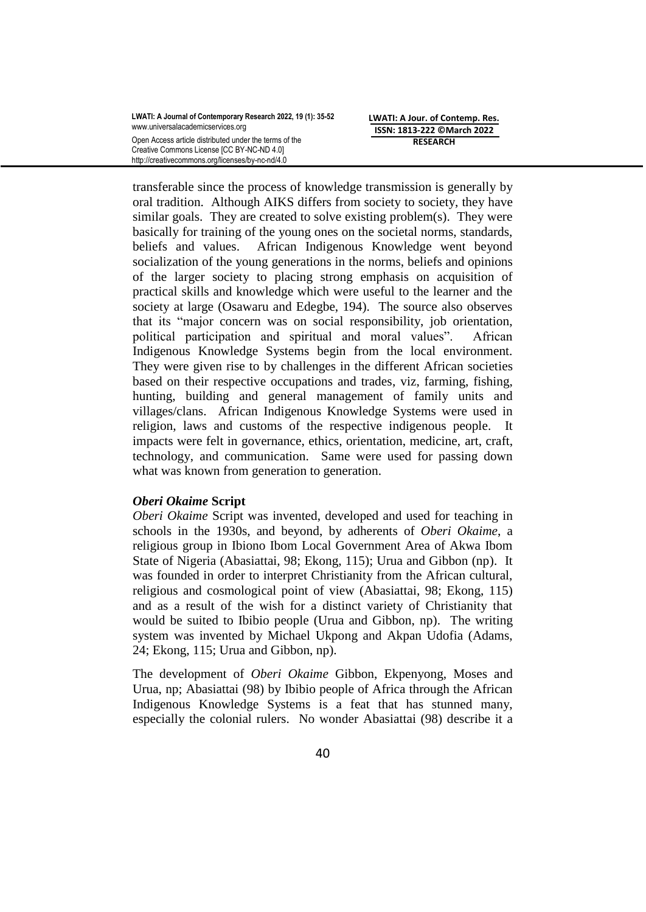transferable since the process of knowledge transmission is generally by oral tradition. Although AIKS differs from society to society, they have similar goals. They are created to solve existing problem(s). They were basically for training of the young ones on the societal norms, standards, beliefs and values. African Indigenous Knowledge went beyond socialization of the young generations in the norms, beliefs and opinions of the larger society to placing strong emphasis on acquisition of practical skills and knowledge which were useful to the learner and the society at large (Osawaru and Edegbe, 194). The source also observes that its "major concern was on social responsibility, job orientation, political participation and spiritual and moral values". African Indigenous Knowledge Systems begin from the local environment. They were given rise to by challenges in the different African societies based on their respective occupations and trades, viz, farming, fishing, hunting, building and general management of family units and villages/clans. African Indigenous Knowledge Systems were used in religion, laws and customs of the respective indigenous people. It impacts were felt in governance, ethics, orientation, medicine, art, craft, technology, and communication. Same were used for passing down what was known from generation to generation.

## *Oberi Okaime* **Script**

*Oberi Okaime* Script was invented, developed and used for teaching in schools in the 1930s, and beyond, by adherents of *Oberi Okaime*, a religious group in Ibiono Ibom Local Government Area of Akwa Ibom State of Nigeria (Abasiattai, 98; Ekong, 115); Urua and Gibbon (np). It was founded in order to interpret Christianity from the African cultural, religious and cosmological point of view (Abasiattai, 98; Ekong, 115) and as a result of the wish for a distinct variety of Christianity that would be suited to Ibibio people (Urua and Gibbon, np). The writing system was invented by Michael Ukpong and Akpan Udofia (Adams, 24; Ekong, 115; Urua and Gibbon, np).

The development of *Oberi Okaime* Gibbon, Ekpenyong, Moses and Urua, np; Abasiattai (98) by Ibibio people of Africa through the African Indigenous Knowledge Systems is a feat that has stunned many, especially the colonial rulers. No wonder Abasiattai (98) describe it a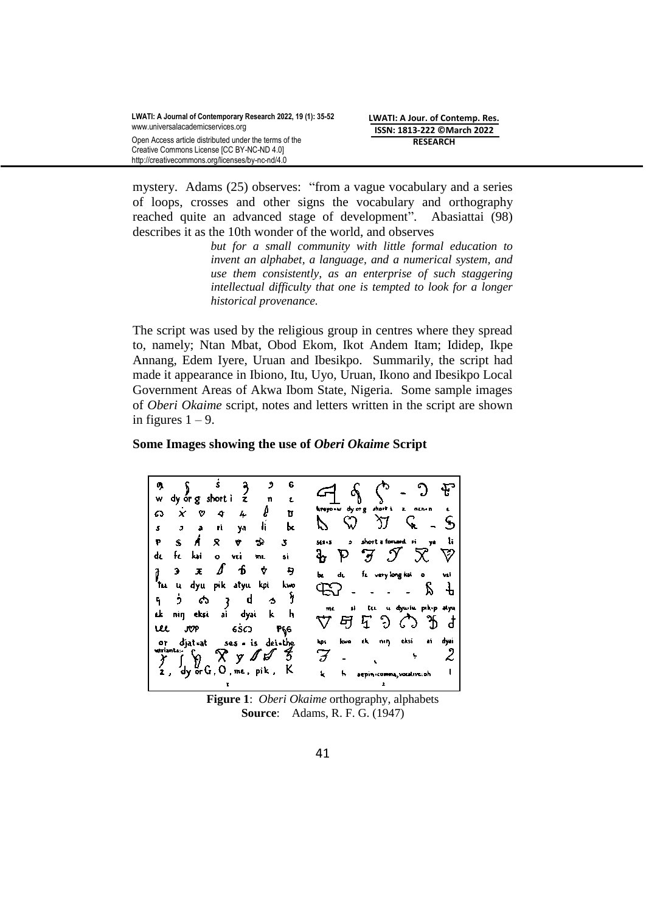mystery. Adams (25) observes: "from a vague vocabulary and a series of loops, crosses and other signs the vocabulary and orthography reached quite an advanced stage of development". Abasiattai (98) describes it as the 10th wonder of the world, and observes

> *but for a small community with little formal education to invent an alphabet, a language, and a numerical system, and use them consistently, as an enterprise of such staggering intellectual difficulty that one is tempted to look for a longer historical provenance.*

The script was used by the religious group in centres where they spread to, namely; Ntan Mbat, Obod Ekom, Ikot Andem Itam; Ididep, Ikpe Annang, Edem Iyere, Uruan and Ibesikpo. Summarily, the script had made it appearance in Ibiono, Itu, Uyo, Uruan, Ikono and Ibesikpo Local Government Areas of Akwa Ibom State, Nigeria. Some sample images of *Oberi Okaime* script, notes and letters written in the script are shown in figures  $1 - 9$ .

#### **Some Images showing the use of** *Oberi Okaime* **Script**



**Figure 1**: *Oberi Okaime* orthography, alphabets **Source**: Adams, R. F. G. (1947)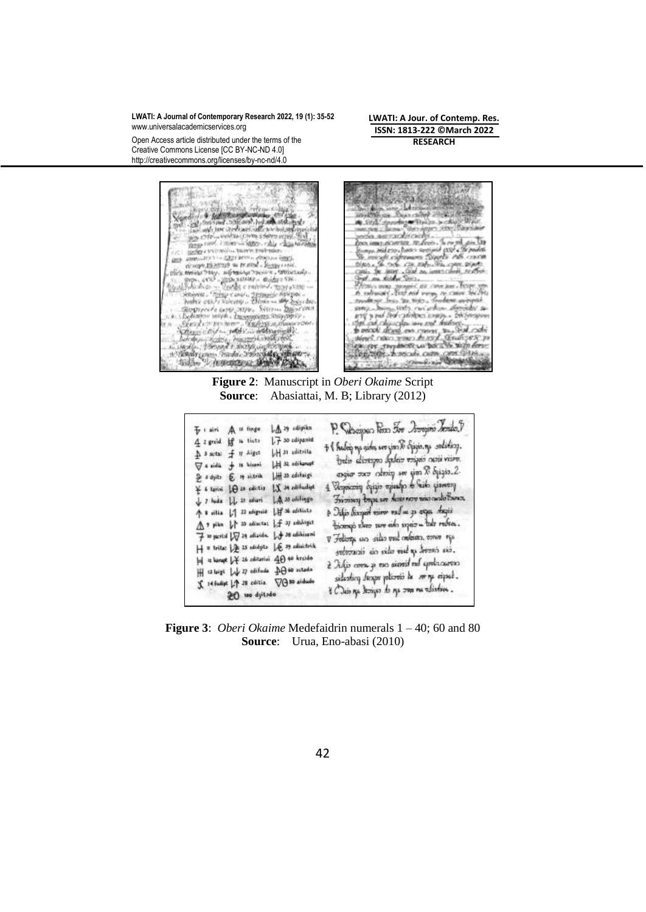Open Access article distributed under the terms of the Creative Commons License [CC BY-NC-ND 4.0] http://creativecommons.org/licenses/by-nc-nd/4.0

**LWATI: A Jour. of Contemp. Res. ISSN: 1813-222 ©March 2022 RESEARCH**



**Figure 2**: Manuscript in *Oberi Okaime* Script **Source**: Abasiattai, M. B; Library (2012)

| $\mathbb{A}$ 29 adipikn<br>$\frac{\pi}{2}$ i siri $\bigwedge$ is finger<br>$L$ $\overline{f}$ so edipatric<br>4 2 greid if is thats | P. Subarpea Fan For Josephi Tender T                                                         |
|-------------------------------------------------------------------------------------------------------------------------------------|----------------------------------------------------------------------------------------------|
| LH 31 aditrita<br>A 3 sets: f 17 Aiget                                                                                              | + { habei ng gión seo gin X chigis.ng solidicy.                                              |
| LEI 32 seikunupt<br><b>⊽a sidū ji iš kius</b> ni                                                                                    | train alivergno babair voipsis ossis viipse.                                                 |
| H 33 cdifaigi<br>全 a dyits (色 in aitrik                                                                                             | angiar zuw catering see som X ogsgio. 2.<br>Economic of the observe eigens of the contract   |
| $\mathbf{X}$ J4 edifiedint<br>* 6 taviai   A so calistia<br>y 7 tuda LL 11 ediam LA 35 editingo                                     | The most pape see house now was adult seen                                                   |
| $L$ if $36$ addition<br>↑ 8 úlia   12 udignoid                                                                                      | è Jakis diasport minor vad un gu organ Angis                                                 |
| A ? pike It is adiactes If it aduligat                                                                                              | bicoup theo ter and squir - the reden.                                                       |
| $\overrightarrow{f}$ to partial $\sqrt{q}$ 24 adiache. $\int_{\overrightarrow{f}}$ 38 adiaconi                                      | V Foliosy, un sillo vol nelisan, cove 150                                                    |
| $H$ = trite: $\frac{1}{2}$ 25 edidyts $\frac{1}{2}$ 29 edisitrik<br> =  ¤ kanapt  ↓¥ 26 zabitanisi 40 40 krzido                     | svévoució sia sido vid qu dovena sió.                                                        |
| $H$ steigt $\downarrow \downarrow \eta$ oftfude $\downarrow \theta$ 60 schools                                                      | è Adjo come gi neo sienid nel apolo.carezo                                                   |
| X 14 fudist LA 28 colitia VO 80 aidude                                                                                              | sidentity design politicial and poolities<br>t Cluis nga Jazigas de nga zana na tulisation . |
| 20 noo dyitado                                                                                                                      |                                                                                              |

**Figure 3**: *Oberi Okaime* Medefaidrin numerals 1 – 40; 60 and 80 **Source**: Urua, Eno-abasi (2010)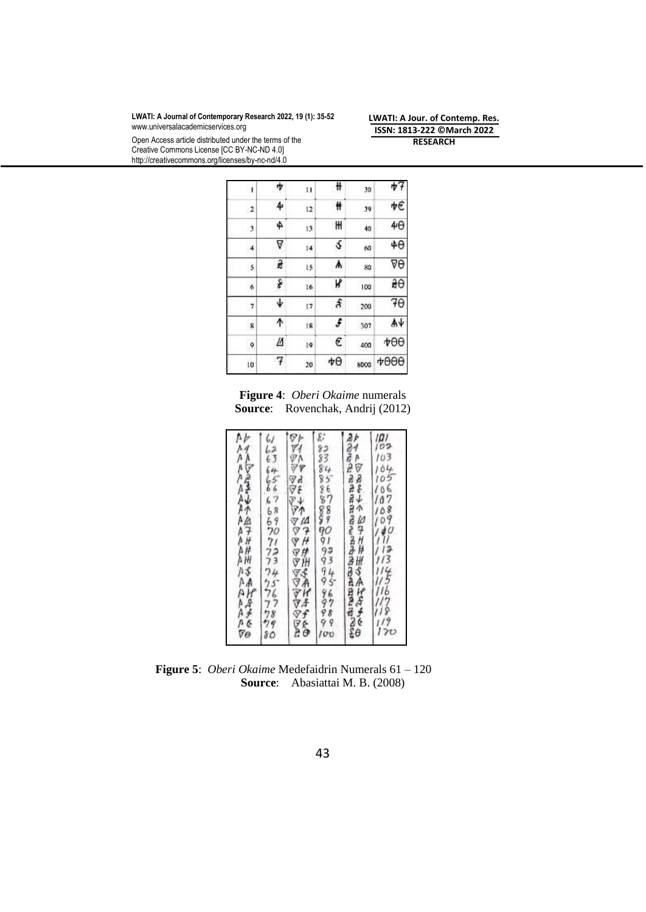http://creativecommons.org/licenses/by-nc-nd/4.0

Open Access article distributed under the terms of the Creative Commons License [CC BY-NC-ND 4.0]

**LWATI: A Jour. of Contemp. Res. ISSN: 1813-222 ©March 2022 RESEARCH**

| ۱              | 7 | 11 | ₩  | 30   | ψŦ         |
|----------------|---|----|----|------|------------|
| $\overline{2}$ | 4 | 12 | Ħ  | 39   | ψE         |
| 3              | 4 | 13 | H  | 40   | $4\theta$  |
| 4              | ∇ | 4  | \$ | 60   | $4\theta$  |
| 5              | z | 15 | ٨  | 80   | ∇θ         |
| 6              | ş | 16 | K  | 103  | àθ         |
|                | Ψ | 17 | £  | 200  | 70         |
| 8              | ተ | 18 | f  | 507  | Ψ          |
| 9              | И | į9 | €  | 400  | $\star$ 00 |
| 10             | 7 | 20 | ψθ | 8000 | 4900       |

**Figure 4**: *Oberi Okaime* numerals **Source**: Rovenchak, Andrij (2012)

| <b>ARREARER REAR ARREARER REAR</b> |
|------------------------------------|
| ぶっぷるとそそちよう ママリアリマ そくちゃくひょう         |
| ひでのマママアママママママママママママママ              |
| しんら いんら しゅうかりりつつ クウフフクタロ           |
| A AA AA AAA A AAAA AAAAAA B        |

 **Figure 5**: *Oberi Okaime* Medefaidrin Numerals 61 – 120 **Source**: Abasiattai M. B. (2008)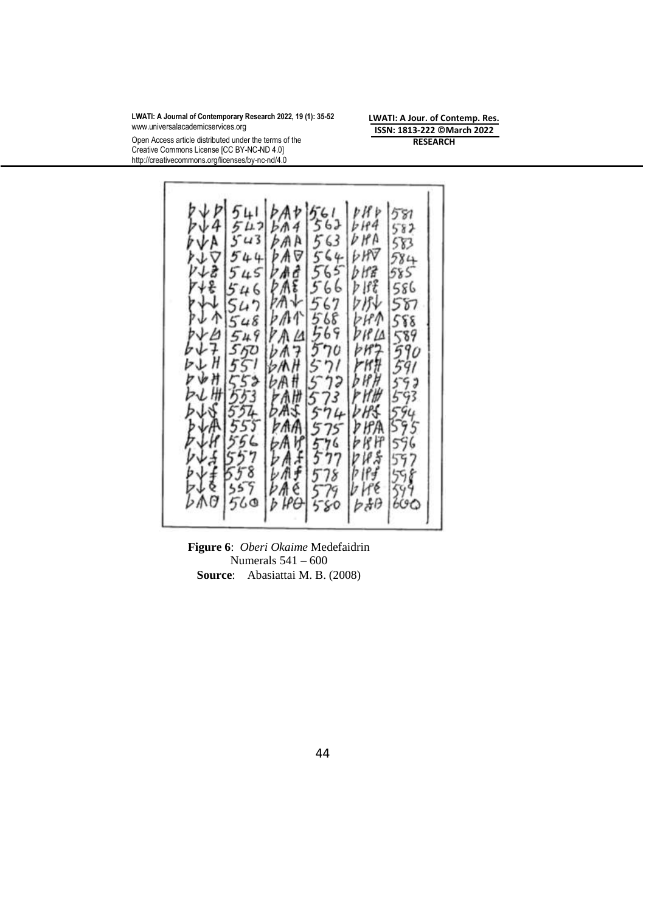Open Access article distributed under the terms of the Creative Commons License [CC BY-NC-ND 4.0] http://creativecommons.org/licenses/by-nc-nd/4.0

**LWATI: A Jour. of Contemp. Res. ISSN: 1813-222 ©March 2022 RESEARCH**



**Figure 6**: *Oberi Okaime* Medefaidrin Numerals 541 – 600 **Source**: Abasiattai M. B. (2008)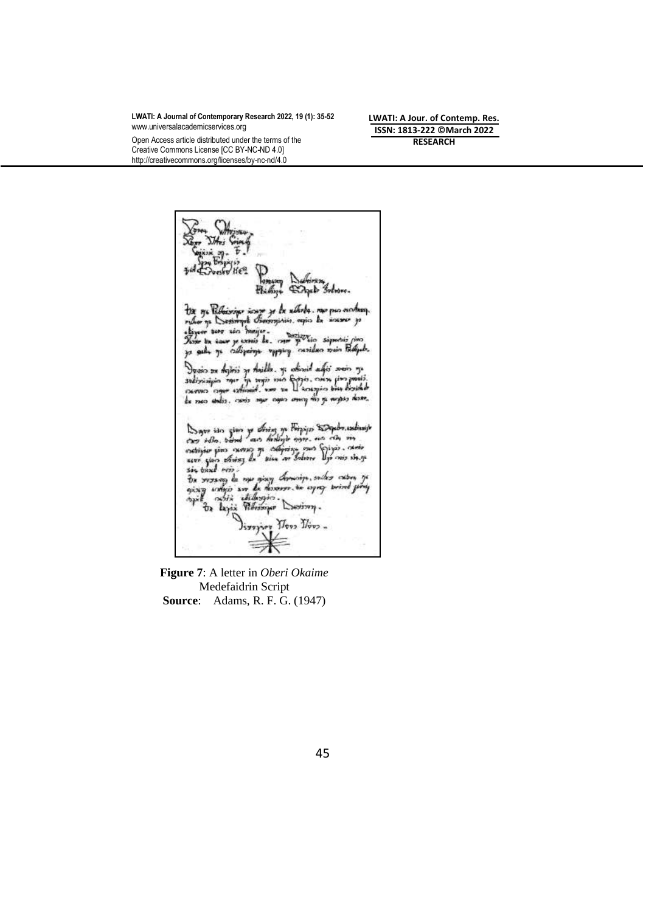Open Access article distributed under the terms of the Creative Commons License [CC BY-NC-ND 4.0] http://creativecommons.org/licenses/by-nc-nd/4.0

**LWATI: A Jour. of Contemp. Res. ISSN: 1813-222 ©March 2022 RESEARCH**

ga Ribiosippe icayo ye ke xibobs, nao puo mohasy.<br>11 ya Seasimple Benominin, nejus ka sincreo ya uro in herija. icar sec nomis de man provin sip sala ya ciliyoinga vyyging nasilsan main Palipah. Duoin zu Agirii yr Anidde, yr odinnif ad  $5.5^{\circ}$  $\begin{array}{c}\n\frac{1}{2} \\
\frac{1}{2} \\
\frac{1}{2} \\
\frac{1}{2} \\
\frac{1}{2} \\
\frac{1}{2} \\
\frac{1}{2} \\
\frac{1}{2} \\
\frac{1}{2} \\
\frac{1}{2} \\
\frac{1}{2} \\
\frac{1}{2} \\
\frac{1}{2} \\
\frac{1}{2} \\
\frac{1}{2} \\
\frac{1}{2} \\
\frac{1}{2} \\
\frac{1}{2} \\
\frac{1}{2} \\
\frac{1}{2} \\
\frac{1}{2} \\
\frac{1}{2} \\
\frac{1}{2} \\
\frac{1}{2} \\
\frac{1}{2} \\
\frac{1}{2} \\
\frac{1$ ri mó fyr sodizzionigin mar tests such Liziold осилио от ke raco ankis, canis nyur cayos unung nilis ga nugasi danne Super sito giano ya divizo ya Firipigio Stoppelm andisasje<br>chem solio, hamal razo dividigio angos ano colo, sin<br>notispian giano chemoso ya chiging maro Soligio colonista<br>scen taino divisos da Raina ver Solivine Dyn maro sh  $\frac{1}{2}$ <br>seem gives straing the piece on Solving Lynning site, you also strain<br>sie band nois.<br>The support of the spin dominique, such as extern of<br>oping integral diffusions.<br>The laying Ribrarian Continue.<br>Simpling There  $y_{\text{sys}}$  )  $y_{\text{sys}}$   $y_{\text{sys}}$  .

**Figure 7**: A letter in *Oberi Okaime*  Medefaidrin Script **Source**: Adams, R. F. G. (1947)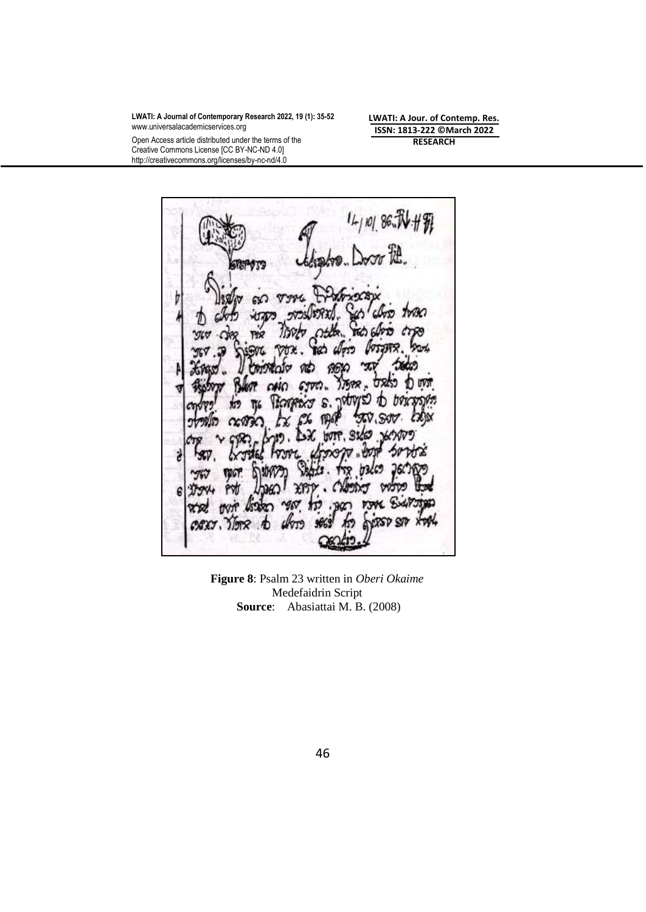**LWATI: A Jour. of Contemp. Res. ISSN: 1813-222 ©March 2022 RESEARCH**

Open Access article distributed under the terms of the Creative Commons License [CC BY-NC-ND 4.0] http://creativecommons.org/licenses/by-nc-nd/4.0

G ž  $\epsilon$ 

**Figure 8**: Psalm 23 written in *Oberi Okaime*  Medefaidrin Script **Source**: Abasiattai M. B. (2008)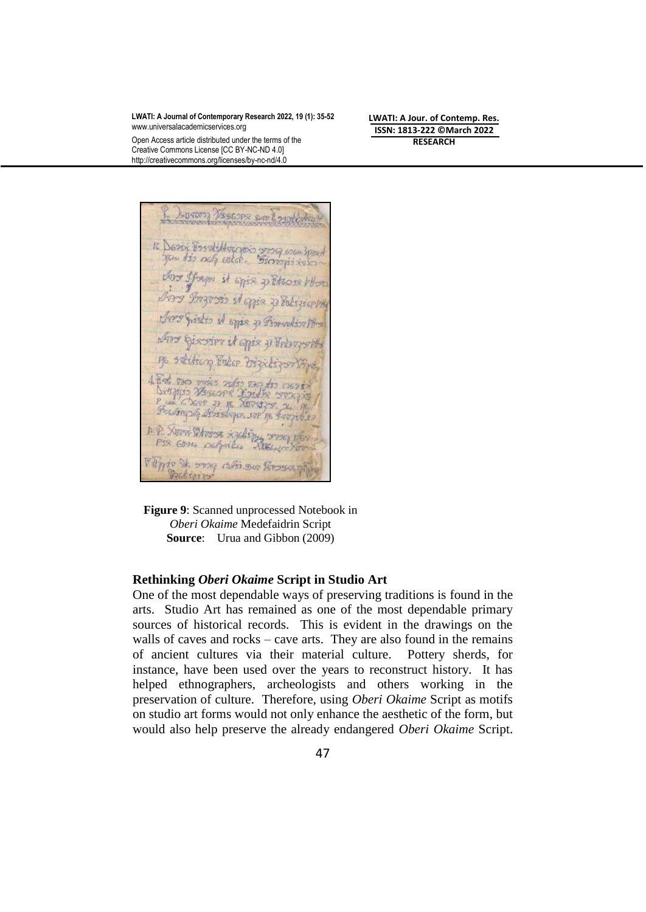Open Access article distributed under the terms of the Creative Commons License [CC BY-NC-ND 4.0] http://creativecommons.org/licenses/by-nc-nd/4.0

**LWATI: A Jour. of Contemp. Res. ISSN: 1813-222 ©March 2022 RESEARCH**

Lygung Vescope sav tosules 12 Desex Essolillargens song eseu boss Vou Juan it apie pritone blo Arry Brzowis it apie za Bolszear Sistes of open 30 Financialism PH Any Giscovier it apis y Velongsh no soliting Fider Dischigon The Fording of desistance of favorite A. P. Xunt Divisor xycling wood der Village St. 2009 calls 300 Personal Protiging

**Figure 9**: Scanned unprocessed Notebook in *Oberi Okaime* Medefaidrin Script **Source**: Urua and Gibbon (2009)

#### **Rethinking** *Oberi Okaime* **Script in Studio Art**

One of the most dependable ways of preserving traditions is found in the arts. Studio Art has remained as one of the most dependable primary sources of historical records. This is evident in the drawings on the walls of caves and rocks – cave arts. They are also found in the remains of ancient cultures via their material culture. Pottery sherds, for instance, have been used over the years to reconstruct history. It has helped ethnographers, archeologists and others working in the preservation of culture. Therefore, using *Oberi Okaime* Script as motifs on studio art forms would not only enhance the aesthetic of the form, but would also help preserve the already endangered *Oberi Okaime* Script.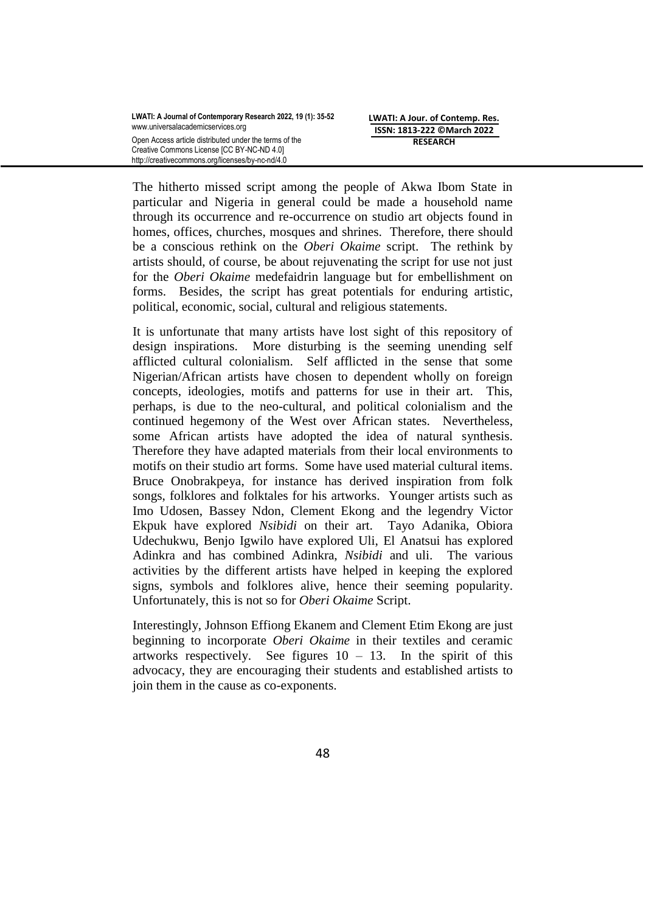The hitherto missed script among the people of Akwa Ibom State in particular and Nigeria in general could be made a household name through its occurrence and re-occurrence on studio art objects found in homes, offices, churches, mosques and shrines. Therefore, there should be a conscious rethink on the *Oberi Okaime* script. The rethink by artists should, of course, be about rejuvenating the script for use not just for the *Oberi Okaime* medefaidrin language but for embellishment on forms. Besides, the script has great potentials for enduring artistic, political, economic, social, cultural and religious statements.

It is unfortunate that many artists have lost sight of this repository of design inspirations. More disturbing is the seeming unending self afflicted cultural colonialism. Self afflicted in the sense that some Nigerian/African artists have chosen to dependent wholly on foreign concepts, ideologies, motifs and patterns for use in their art. This, perhaps, is due to the neo-cultural, and political colonialism and the continued hegemony of the West over African states. Nevertheless, some African artists have adopted the idea of natural synthesis. Therefore they have adapted materials from their local environments to motifs on their studio art forms. Some have used material cultural items. Bruce Onobrakpeya, for instance has derived inspiration from folk songs, folklores and folktales for his artworks. Younger artists such as Imo Udosen, Bassey Ndon, Clement Ekong and the legendry Victor Ekpuk have explored *Nsibidi* on their art. Tayo Adanika, Obiora Udechukwu, Benjo Igwilo have explored Uli, El Anatsui has explored Adinkra and has combined Adinkra, *Nsibidi* and uli. The various activities by the different artists have helped in keeping the explored signs, symbols and folklores alive, hence their seeming popularity. Unfortunately, this is not so for *Oberi Okaime* Script.

Interestingly, Johnson Effiong Ekanem and Clement Etim Ekong are just beginning to incorporate *Oberi Okaime* in their textiles and ceramic artworks respectively. See figures  $10 - 13$ . In the spirit of this advocacy, they are encouraging their students and established artists to join them in the cause as co-exponents.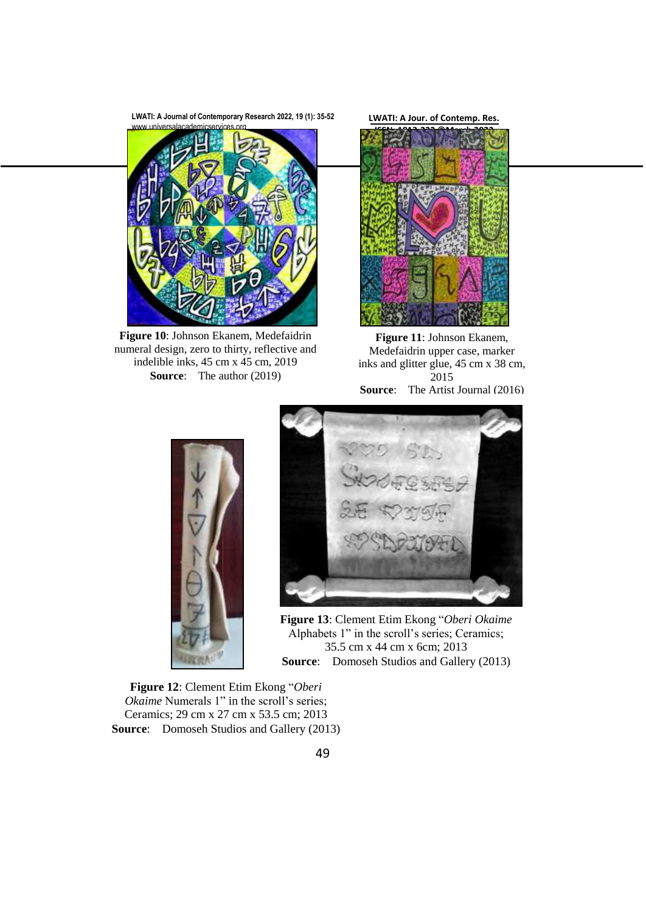**LWATI: A Journal of Contemporary Research 2022, 19 (1): 35-52**



**Figure 10**: Johnson Ekanem, Medefaidrin numeral design, zero to thirty, reflective and indelible inks, 45 cm x 45 cm, 2019 **Source:** The author (2019)

**LWATI: A Jour. of Contemp. Res.**



**Figure 11**: Johnson Ekanem, Medefaidrin upper case, marker inks and glitter glue, 45 cm x 38 cm, 2015 **Source:** The Artist Journal (2016)





**Figure 13**: Clement Etim Ekong "*Oberi Okaime* Alphabets 1" in the scroll's series; Ceramics; 35.5 cm x 44 cm x 6cm; 2013 **Source:** Domoseh Studios and Gallery (2013)

**Figure 12**: Clement Etim Ekong "*Oberi Okaime* Numerals 1" in the scroll's series; Ceramics; 29 cm x 27 cm x 53.5 cm; 2013 **Source:** Domoseh Studios and Gallery (2013)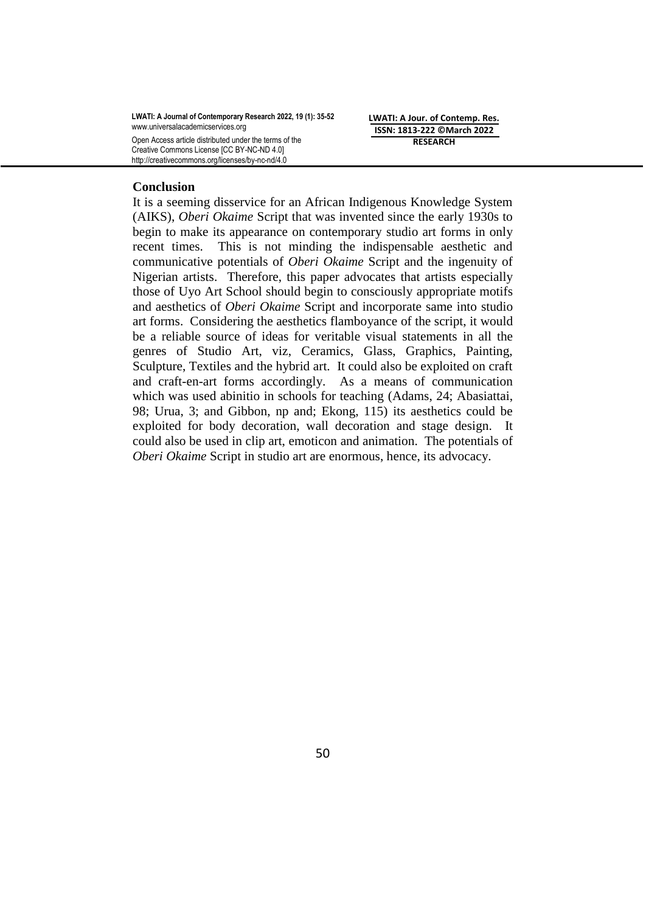**LWATI: A Journal of Contemporary Research 2022, 19 (1): 35-52** [www.universalacademicservices.org](http://www.universalacademicservices.org/) Open Access article distributed under the terms of the Creative Commons License [CC BY-NC-ND 4.0]

http://creativecommons.org/licenses/by-nc-nd/4.0

**LWATI: A Jour. of Contemp. Res. ISSN: 1813-222 ©March 2022 RESEARCH**

#### **Conclusion**

It is a seeming disservice for an African Indigenous Knowledge System (AIKS), *Oberi Okaime* Script that was invented since the early 1930s to begin to make its appearance on contemporary studio art forms in only recent times. This is not minding the indispensable aesthetic and communicative potentials of *Oberi Okaime* Script and the ingenuity of Nigerian artists. Therefore, this paper advocates that artists especially those of Uyo Art School should begin to consciously appropriate motifs and aesthetics of *Oberi Okaime* Script and incorporate same into studio art forms. Considering the aesthetics flamboyance of the script, it would be a reliable source of ideas for veritable visual statements in all the genres of Studio Art, viz, Ceramics, Glass, Graphics, Painting, Sculpture, Textiles and the hybrid art. It could also be exploited on craft and craft-en-art forms accordingly. As a means of communication which was used abinitio in schools for teaching (Adams, 24; Abasiattai, 98; Urua, 3; and Gibbon, np and; Ekong, 115) its aesthetics could be exploited for body decoration, wall decoration and stage design. It could also be used in clip art, emoticon and animation. The potentials of *Oberi Okaime* Script in studio art are enormous, hence, its advocacy.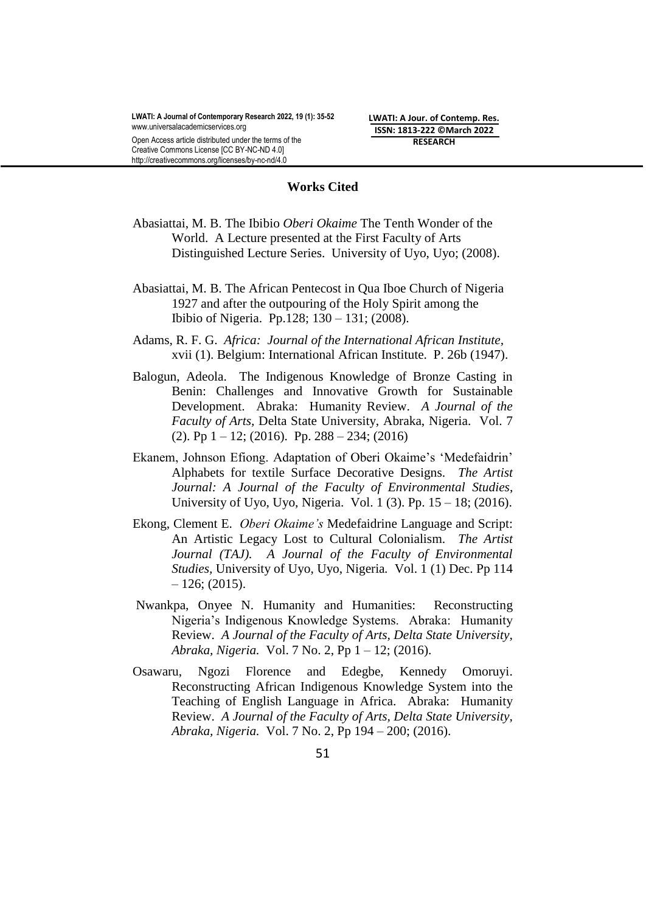http://creativecommons.org/licenses/by-nc-nd/4.0

**LWATI: A Jour. of Contemp. Res. ISSN: 1813-222 ©March 2022 RESEARCH**

#### **Works Cited**

- Abasiattai, M. B. The Ibibio *Oberi Okaime* The Tenth Wonder of the World. A Lecture presented at the First Faculty of Arts Distinguished Lecture Series. University of Uyo, Uyo; (2008).
- Abasiattai, M. B. The African Pentecost in Qua Iboe Church of Nigeria 1927 and after the outpouring of the Holy Spirit among the Ibibio of Nigeria.Pp.128; 130 – 131; (2008).
- Adams, R. F. G. *Africa: Journal of the International African Institute,*  xvii (1). Belgium: International African Institute. P. 26b (1947).
- Balogun, Adeola. The Indigenous Knowledge of Bronze Casting in Benin: Challenges and Innovative Growth for Sustainable Development. Abraka: Humanity Review. *A Journal of the Faculty of Arts,* Delta State University, Abraka, Nigeria. Vol. 7  $(2)$ . Pp  $1 - 12$ ;  $(2016)$ . Pp.  $288 - 234$ ;  $(2016)$
- Ekanem, Johnson Efiong. Adaptation of Oberi Okaime's 'Medefaidrin' Alphabets for textile Surface Decorative Designs. *The Artist Journal: A Journal of the Faculty of Environmental Studies*, University of Uyo, Uyo, Nigeria.Vol. 1 (3). Pp. 15 – 18; (2016).
- Ekong, Clement E. *Oberi Okaime's* Medefaidrine Language and Script: An Artistic Legacy Lost to Cultural Colonialism. *The Artist Journal (TAJ). A Journal of the Faculty of Environmental Studies,* University of Uyo, Uyo, Nigeria*.* Vol. 1 (1) Dec. Pp 114  $-126$ ; (2015).
- Nwankpa, Onyee N. Humanity and Humanities: Reconstructing Nigeria"s Indigenous Knowledge Systems. Abraka: Humanity Review. *A Journal of the Faculty of Arts, Delta State University, Abraka, Nigeria.* Vol. 7 No. 2, Pp 1 – 12; (2016).
- Osawaru, Ngozi Florence and Edegbe, Kennedy Omoruyi. Reconstructing African Indigenous Knowledge System into the Teaching of English Language in Africa. Abraka: Humanity Review. *A Journal of the Faculty of Arts, Delta State University, Abraka, Nigeria.* Vol. 7 No. 2, Pp 194 – 200; (2016).